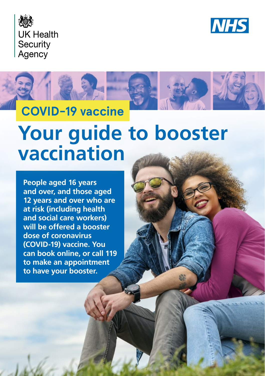





# **Your guide to booster vaccination**

**People aged 16 years and over, and those aged 12 years and over who are at risk (including health and social care workers) will be offered a booster dose of coronavirus (COVID-19) vaccine. You can book online, or call 119 to make an appointment to have your booster.**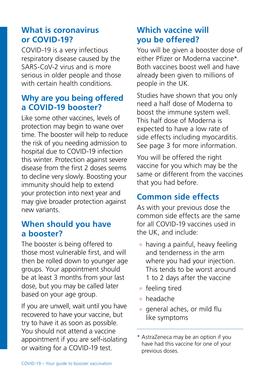#### **What is coronavirus or COVID-19?**

COVID-19 is a very infectious respiratory disease caused by the SARS-CoV-2 virus and is more serious in older people and those with certain health conditions.

### **Why are you being offered a COVID-19 booster?**

Like some other vaccines, levels of protection may begin to wane over time. The booster will help to reduce the risk of you needing admission to hospital due to COVID-19 infection this winter. Protection against severe disease from the first 2 doses seems to decline very slowly. Boosting your immunity should help to extend your protection into next year and may give broader protection against new variants.

#### **When should you have a booster?**

The booster is being offered to those most vulnerable first, and will then be rolled down to younger age groups. Your appointment should be at least 3 months from your last dose, but you may be called later based on your age group.

If you are unwell, wait until you have recovered to have your vaccine, but try to have it as soon as possible. You should not attend a vaccine appointment if you are self-isolating or waiting for a COVID-19 test.

## **Which vaccine will you be offered?**

You will be given a booster dose of either Pfizer or Moderna vaccine\*. Both vaccines boost well and have already been given to millions of people in the UK.

Studies have shown that you only need a half dose of Moderna to boost the immune system well. This half dose of Moderna is expected to have a low rate of side effects including myocarditis. See page 3 for more information.

You will be offered the right vaccine for you which may be the same or different from the vaccines that you had before.

# **Common side effects**

As with your previous dose the common side effects are the same for all COVID-19 vaccines used in the UK, and include:

- having a painful, heavy feeling and tenderness in the arm where you had your injection. This tends to be worst around 1 to 2 days after the vaccine
- feeling tired
- headache
- general aches, or mild flu like symptoms

<sup>\*</sup> AstraZeneca may be an option if you have had this vaccine for one of your previous doses.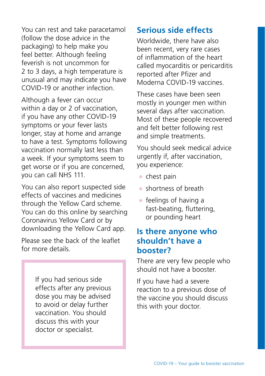You can rest and take paracetamol (follow the dose advice in the packaging) to help make you feel better. Although feeling feverish is not uncommon for 2 to 3 days, a high temperature is unusual and may indicate you have COVID-19 or another infection.

Although a fever can occur within a day or 2 of vaccination, if you have any other COVID-19 symptoms or your fever lasts longer, stay at home and arrange to have a test. Symptoms following vaccination normally last less than a week. If your symptoms seem to get worse or if you are concerned, you can call NHS 111.

You can also report suspected side effects of vaccines and medicines through the Yellow Card scheme. You can do this online by searching Coronavirus Yellow Card or by downloading the Yellow Card app.

Please see the back of the leaflet for more details.

> If you had serious side effects after any previous dose you may be advised to avoid or delay further vaccination. You should discuss this with your doctor or specialist.

#### **Serious side effects**

Worldwide, there have also been recent, very rare cases of inflammation of the heart called myocarditis or pericarditis reported after Pfizer and Moderna COVID-19 vaccines.

These cases have been seen mostly in younger men within several days after vaccination. Most of these people recovered and felt better following rest and simple treatments.

You should seek medical advice urgently if, after vaccination, you experience:

- chest pain
- shortness of breath
- $\bullet$  feelings of having a fast-beating, fluttering, or pounding heart

#### **Is there anyone who shouldn't have a booster?**

There are very few people who should not have a booster.

If you have had a severe reaction to a previous dose of the vaccine you should discuss this with your doctor.